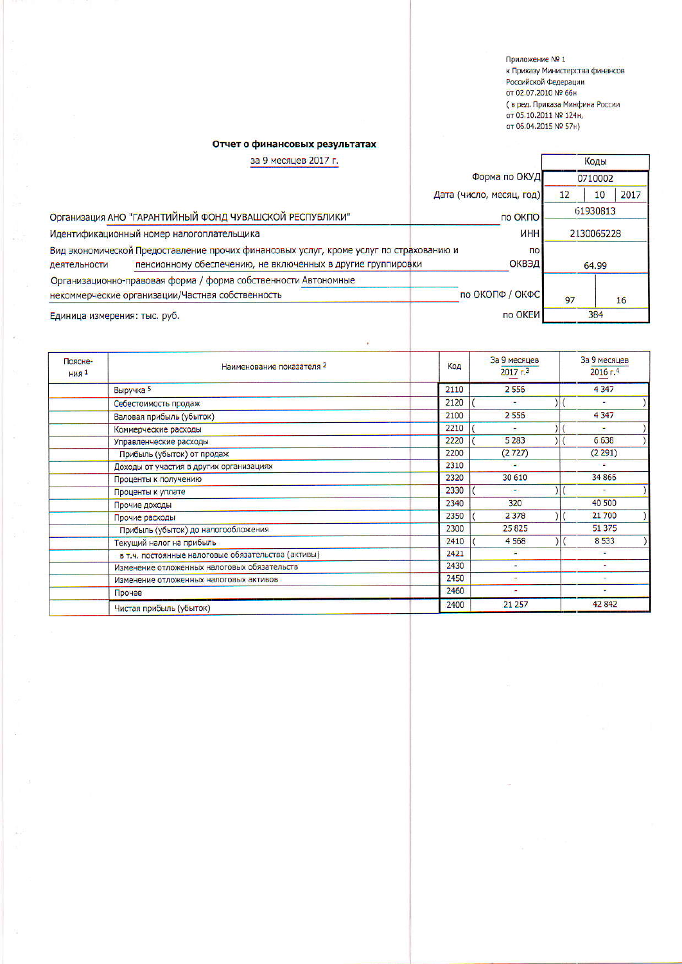Приложение № 1 к Приказу Министерства финансов послийской Федерации<br>От 02.07.2010 № 66н ( в ред. Приказа Минфина России<br>от 05.10.2011 № 124н, от 06.04.2015 № 57н)

Коды

## Отчет о финансовых результатах

## за 9 месяцев 2017 г.

|                                                                                                                                                                       |                                                                | Форма по ОКУД                   | 0710002    |            |
|-----------------------------------------------------------------------------------------------------------------------------------------------------------------------|----------------------------------------------------------------|---------------------------------|------------|------------|
|                                                                                                                                                                       |                                                                | Дата (число, месяц, год)        | 12         | 2017<br>10 |
| Организация АНО "ГАРАНТИЙНЫЙ ФОНД ЧУВАШСКОЙ РЕСПУБЛИКИ"                                                                                                               |                                                                | по ОКПО                         | 61930813   |            |
| Идентификационный номер налогоплательщика                                                                                                                             |                                                                | <b><i>MHH</i></b>               | 2130065228 |            |
| Вид экономической Предоставление прочих финансовых услуг, кроме услуг по страхованию и<br>пенсионному обеспечению, не включенных в другие группировки<br>деятельности |                                                                | $\overline{10}$<br><b>ОКВЭД</b> | 64.99      |            |
|                                                                                                                                                                       | Организационно-правовая форма / форма собственности Автономные |                                 |            |            |
| некоммерческие организации/Частная собственность                                                                                                                      |                                                                | по ОКОПФ / ОКФС                 | 97         | 16         |
| Единица измерения: тыс. руб.                                                                                                                                          |                                                                | по ОКЕИ                         | 384        |            |

| Поясне-<br>$H$ ия <sup>1</sup> | Наименование показателя 2                          | Код  | За 9 месяцев<br>$2017 - 3$ | За 9 месяцев<br>$2016$ г. <sup>4</sup> |
|--------------------------------|----------------------------------------------------|------|----------------------------|----------------------------------------|
|                                | Выручка 5                                          | 2110 | 2556                       | 4347                                   |
|                                | Себестоимость продаж                               | 2120 |                            |                                        |
|                                | Валовая прибыль (убыток)                           | 2100 | 2 5 5 6                    | 4347                                   |
|                                | Коммерческие расходы                               | 2210 | ۰                          | ۰                                      |
|                                | Управленческие расходы                             | 2220 | 5 2 8 3                    | 6638                                   |
|                                | Прибыль (убыток) от продаж                         | 2200 | (2727)                     | (2291)                                 |
|                                | Доходы от участия в других организациях            | 2310 | 43                         |                                        |
|                                | Проценты к получению                               | 2320 | 30 610                     | 34 866                                 |
|                                | Проценты к уплате                                  | 2330 | ۰                          |                                        |
|                                | Прочие доходы                                      | 2340 | 320                        | 40 500                                 |
|                                | Прочие расходы                                     | 2350 | 2 3 7 8                    | 21 700                                 |
|                                | Прибыль (убыток) до налогообложения                | 2300 | 25825                      | 51 37 5                                |
|                                | Текущий налог на прибыль                           | 2410 | 4 5 6 8                    | 8533                                   |
|                                | в т.ч. постоянные налоговые обязательства (активы) | 2421 | u                          |                                        |
|                                | Изменение отложенных налоговых обязательств        | 2430 | ٠                          |                                        |
|                                | Изменение отложенных налоговых активов             | 2450 | ٠                          | $\overline{\phantom{a}}$               |
|                                | Прочее                                             | 2460 | ٠                          |                                        |
|                                | Чистая прибыль (убыток)                            | 2400 | 21 257                     | 42842                                  |